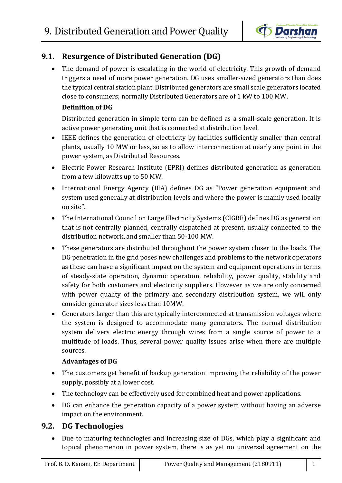

# **9.1. Resurgence of Distributed Generation (DG)**

• The demand of power is escalating in the world of electricity. This growth of demand triggers a need of more power generation. DG uses smaller-sized generators than does the typical central station plant. Distributed generators are small scale generators located close to consumers; normally Distributed Generators are of 1 kW to 100 MW.

## **Definition of DG**

Distributed generation in simple term can be defined as a small-scale generation. It is active power generating unit that is connected at distribution level.

- IEEE defines the generation of electricity by facilities sufficiently smaller than central plants, usually 10 MW or less, so as to allow interconnection at nearly any point in the power system, as Distributed Resources.
- Electric Power Research Institute (EPRI) defines distributed generation as generation from a few kilowatts up to 50 MW.
- International Energy Agency (IEA) defines DG as "Power generation equipment and system used generally at distribution levels and where the power is mainly used locally on site".
- The International Council on Large Electricity Systems (CIGRE) defines DG as generation that is not centrally planned, centrally dispatched at present, usually connected to the distribution network, and smaller than 50-100 MW.
- These generators are distributed throughout the power system closer to the loads. The DG penetration in the grid poses new challenges and problems to the network operators as these can have a significant impact on the system and equipment operations in terms of steady-state operation, dynamic operation, reliability, power quality, stability and safety for both customers and electricity suppliers. However as we are only concerned with power quality of the primary and secondary distribution system, we will only consider generator sizes less than 10MW.
- Generators larger than this are typically interconnected at transmission voltages where the system is designed to accommodate many generators. The normal distribution system delivers electric energy through wires from a single source of power to a multitude of loads. Thus, several power quality issues arise when there are multiple sources.

# **Advantages of DG**

- The customers get benefit of backup generation improving the reliability of the power supply, possibly at a lower cost.
- The technology can be effectively used for combined heat and power applications.
- DG can enhance the generation capacity of a power system without having an adverse impact on the environment.

# **9.2. DG Technologies**

 Due to maturing technologies and increasing size of DGs, which play a significant and topical phenomenon in power system, there is as yet no universal agreement on the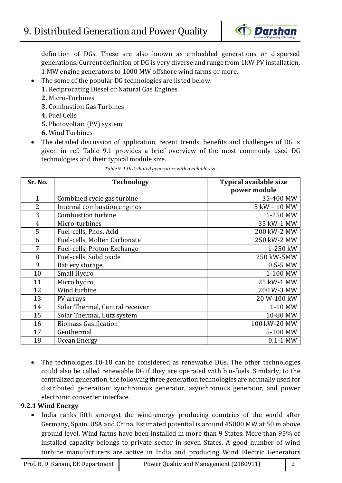

definition of DGs. These are also known as embedded generations or dispersed generations. Current definition of DG is very diverse and range from 1kW PV installation, 1 MW engine generators to 1000 MW offshore wind farms or more.

- The some of the popular DG technologies are listed below:
	- **1.** Reciprocating Diesel or Natural Gas Engines
	- **2.** Micro-Turbines
	- **3.** Combustion Gas Turbines
	- **4.** Fuel Cells
	- **5.** Photovoltaic (PV) system
	- **6.** Wind Turbines
- The detailed discussion of application, recent trends, benefits and challenges of DG is given in ref. Table 9.1 provides a brief overview of the most commonly used DG technologies and their typical module size.

*Table 9. 1 Distributed generators with available size*

| Sr. No.        | <b>Technology</b>               | <b>Typical available size</b><br>power module |
|----------------|---------------------------------|-----------------------------------------------|
| $\mathbf{1}$   | Combined cycle gas turbine      | 35-400 MW                                     |
| $\overline{2}$ | Internal combustion engines     | 5 kW - 10 MW                                  |
| 3              | Combustion turbine              | 1-250 MW                                      |
| $\overline{4}$ | Micro-turbines                  | 35 kW-1 MW                                    |
| 5              | Fuel-cells, Phos. Acid          | 200 kW-2 MW                                   |
| 6              | Fuel-cells, Molten Carbonate    | 250 kW-2 MW                                   |
| 7              | Fuel-cells, Proton Exchange     | 1-250 kW                                      |
| 8              | Fuel-cells, Solid oxide         | 250 kW-5MW                                    |
| 9              | Battery storage                 | $0.5 - 5$ MW                                  |
| 10             | Small Hydro                     | 1-100 MW                                      |
| 11             | Micro hydro                     | 25 kW-1 MW                                    |
| 12             | Wind turbine                    | 200 W-3 MW                                    |
| 13             | PV arrays                       | 20 W-100 kW                                   |
| 14             | Solar Thermal, Central receiver | 1-10 MW                                       |
| 15             | Solar Thermal, Lutz system      | 10-80 MW                                      |
| 16             | <b>Biomass Gasification</b>     | 100 kW-20 MW                                  |
| 17             | Geothermal                      | 5-100 MW                                      |
| 18             | Ocean Energy                    | $0.1 - 1$ MW                                  |

 The technologies 10-18 can be considered as renewable DGs. The other technologies could also be called renewable DG if they are operated with bio-fuels. Similarly, to the centralized generation, the following three generation technologies are normally used for distributed generation: synchronous generator, asynchronous generator, and power electronic converter interface.

### **9.2.1 Wind Energy**

• India ranks fifth amongst the wind-energy producing countries of the world after Germany, Spain, USA and China. Estimated potential is around 45000 MW at 50 m above ground level. Wind farms have been installed in more than 9 States. More than 95% of installed capacity belongs to private sector in seven States. A good number of wind turbine manufacturers are active in India and producing Wind Electric Generators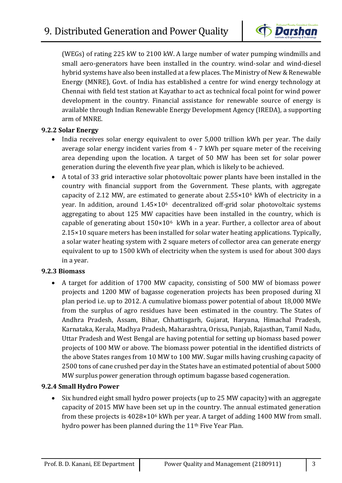

(WEGs) of rating 225 kW to 2100 kW. A large number of water pumping windmills and small aero-generators have been installed in the country. wind-solar and wind-diesel hybrid systems have also been installed at a few places. The Ministry of New & Renewable Energy (MNRE), Govt. of India has established a centre for wind energy technology at Chennai with field test station at Kayathar to act as technical focal point for wind power development in the country. Financial assistance for renewable source of energy is available through Indian Renewable Energy Development Agency (IREDA), a supporting arm of MNRE.

#### **9.2.2 Solar Energy**

- India receives solar energy equivalent to over 5,000 trillion kWh per year. The daily average solar energy incident varies from 4 - 7 kWh per square meter of the receiving area depending upon the location. A target of 50 MW has been set for solar power generation during the eleventh five year plan, which is likely to be achieved.
- A total of 33 grid interactive solar photovoltaic power plants have been installed in the country with financial support from the Government. These plants, with aggregate capacity of 2.12 MW, are estimated to generate about 2.55×10<sup>6</sup> kWh of electricity in a year. In addition, around 1.45×106 decentralized off-grid solar photovoltaic systems aggregating to about 125 MW capacities have been installed in the country, which is capable of generating about  $150\times10^6$  kWh in a year. Further, a collector area of about 2.15×10 square meters has been installed for solar water heating applications. Typically, a solar water heating system with 2 square meters of collector area can generate energy equivalent to up to 1500 kWh of electricity when the system is used for about 300 days in a year.

#### **9.2.3 Biomass**

 A target for addition of 1700 MW capacity, consisting of 500 MW of biomass power projects and 1200 MW of bagasse cogeneration projects has been proposed during XI plan period i.e. up to 2012. A cumulative biomass power potential of about 18,000 MWe from the surplus of agro residues have been estimated in the country. The States of Andhra Pradesh, Assam, Bihar, Chhattisgarh, Gujarat, Haryana, Himachal Pradesh, Karnataka, Kerala, Madhya Pradesh, Maharashtra, Orissa, Punjab, Rajasthan, Tamil Nadu, Uttar Pradesh and West Bengal are having potential for setting up biomass based power projects of 100 MW or above. The biomass power potential in the identified districts of the above States ranges from 10 MW to 100 MW. Sugar mills having crushing capacity of 2500 tons of cane crushed per day in the States have an estimated potential of about 5000 MW surplus power generation through optimum bagasse based cogeneration.

### **9.2.4 Small Hydro Power**

• Six hundred eight small hydro power projects (up to 25 MW capacity) with an aggregate capacity of 2015 MW have been set up in the country. The annual estimated generation from these projects is 4028×10<sup>6</sup> kWh per year. A target of adding 1400 MW from small. hydro power has been planned during the 11<sup>th</sup> Five Year Plan.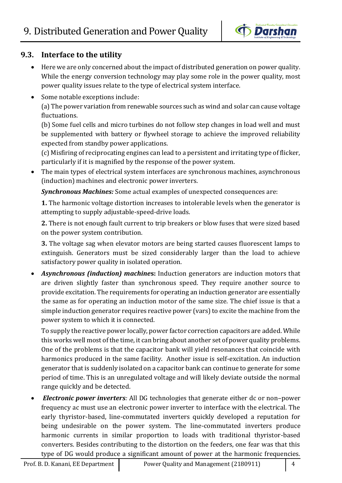

# **9.3. Interface to the utility**

- Here we are only concerned about the impact of distributed generation on power quality. While the energy conversion technology may play some role in the power quality, most power quality issues relate to the type of electrical system interface.
- Some notable exceptions include:

(a) The power variation from renewable sources such as wind and solar can cause voltage fluctuations.

(b) Some fuel cells and micro turbines do not follow step changes in load well and must be supplemented with battery or flywheel storage to achieve the improved reliability expected from standby power applications.

(c) Misfiring of reciprocating engines can lead to a persistent and irritating type of flicker, particularly if it is magnified by the response of the power system.

• The main types of electrical system interfaces are synchronous machines, asynchronous (induction) machines and electronic power inverters.

*Synchronous Machines:* Some actual examples of unexpected consequences are:

**1.** The harmonic voltage distortion increases to intolerable levels when the generator is attempting to supply adjustable-speed-drive loads.

**2.** There is not enough fault current to trip breakers or blow fuses that were sized based on the power system contribution.

**3.** The voltage sag when elevator motors are being started causes fluorescent lamps to extinguish. Generators must be sized considerably larger than the load to achieve satisfactory power quality in isolated operation.

 *Asynchronous (induction) machine***s:** Induction generators are induction motors that are driven slightly faster than synchronous speed. They require another source to provide excitation. The requirements for operating an induction generator are essentially the same as for operating an induction motor of the same size. The chief issue is that a simple induction generator requires reactive power (vars) to excite the machine from the power system to which it is connected.

To supply the reactive power locally, power factor correction capacitors are added. While this works well most of the time, it can bring about another set of power quality problems. One of the problems is that the capacitor bank will yield resonances that coincide with harmonics produced in the same facility. Another issue is self-excitation. An induction generator that is suddenly isolated on a capacitor bank can continue to generate for some period of time. This is an unregulated voltage and will likely deviate outside the normal range quickly and be detected.

 *Electronic power inverters:* All DG technologies that generate either dc or non–power frequency ac must use an electronic power inverter to interface with the electrical. The early thyristor-based, line-commutated inverters quickly developed a reputation for being undesirable on the power system. The line-commutated inverters produce harmonic currents in similar proportion to loads with traditional thyristor-based converters. Besides contributing to the distortion on the feeders, one fear was that this type of DG would produce a significant amount of power at the harmonic frequencies.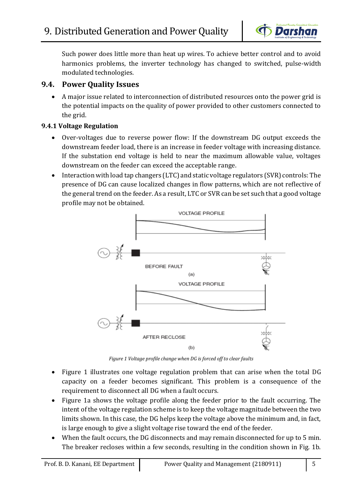

Such power does little more than heat up wires. To achieve better control and to avoid harmonics problems, the inverter technology has changed to switched, pulse-width modulated technologies.

# **9.4. Power Quality Issues**

 A major issue related to interconnection of distributed resources onto the power grid is the potential impacts on the quality of power provided to other customers connected to the grid.

# **9.4.1 Voltage Regulation**

- Over-voltages due to reverse power flow: If the downstream DG output exceeds the downstream feeder load, there is an increase in feeder voltage with increasing distance. If the substation end voltage is held to near the maximum allowable value, voltages downstream on the feeder can exceed the acceptable range.
- Interaction with load tap changers (LTC) and static voltage regulators (SVR) controls: The presence of DG can cause localized changes in flow patterns, which are not reflective of the general trend on the feeder. As a result, LTC or SVR can be set such that a good voltage profile may not be obtained.



*Figure 1 Voltage profile change when DG is forced off to clear faults*

- Figure 1 illustrates one voltage regulation problem that can arise when the total DG capacity on a feeder becomes significant. This problem is a consequence of the requirement to disconnect all DG when a fault occurs.
- Figure 1a shows the voltage profile along the feeder prior to the fault occurring. The intent of the voltage regulation scheme is to keep the voltage magnitude between the two limits shown. In this case, the DG helps keep the voltage above the minimum and, in fact, is large enough to give a slight voltage rise toward the end of the feeder.
- When the fault occurs, the DG disconnects and may remain disconnected for up to 5 min. The breaker recloses within a few seconds, resulting in the condition shown in Fig. 1b.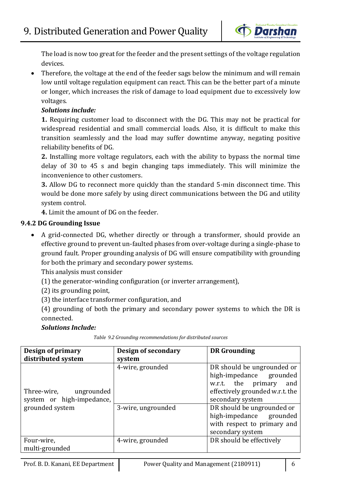

The load is now too great for the feeder and the present settings of the voltage regulation devices.

 Therefore, the voltage at the end of the feeder sags below the minimum and will remain low until voltage regulation equipment can react. This can be the better part of a minute or longer, which increases the risk of damage to load equipment due to excessively low voltages.

# *Solutions include:*

**1.** Requiring customer load to disconnect with the DG. This may not be practical for widespread residential and small commercial loads. Also, it is difficult to make this transition seamlessly and the load may suffer downtime anyway, negating positive reliability benefits of DG.

**2.** Installing more voltage regulators, each with the ability to bypass the normal time delay of 30 to 45 s and begin changing taps immediately. This will minimize the inconvenience to other customers.

**3.** Allow DG to reconnect more quickly than the standard 5-min disconnect time. This would be done more safely by using direct communications between the DG and utility system control.

**4.** Limit the amount of DG on the feeder.

# **9.4.2 DG Grounding Issue**

 A grid-connected DG, whether directly or through a transformer, should provide an effective ground to prevent un-faulted phases from over-voltage during a single-phase to ground fault. Proper grounding analysis of DG will ensure compatibility with grounding for both the primary and secondary power systems.

This analysis must consider

(1) the generator-winding configuration (or inverter arrangement),

(2) its grounding point,

(3) the interface transformer configuration, and

(4) grounding of both the primary and secondary power systems to which the DR is connected.

### *Solutions Include:*

| Design of primary         | Design of secondary | <b>DR</b> Grounding             |
|---------------------------|---------------------|---------------------------------|
| distributed system        | system              |                                 |
|                           | 4-wire, grounded    | DR should be ungrounded or      |
|                           |                     | high-impedance grounded         |
|                           |                     | w.r.t. the primary<br>and       |
| Three-wire,<br>ungrounded |                     | effectively grounded w.r.t. the |
| system or high-impedance, |                     | secondary system                |
| grounded system           | 3-wire, ungrounded  | DR should be ungrounded or      |
|                           |                     | high-impedance grounded         |
|                           |                     | with respect to primary and     |
|                           |                     | secondary system                |
| Four-wire,                | 4-wire, grounded    | DR should be effectively        |
| multi-grounded            |                     |                                 |

*Table 9.2 Grounding recommendations for distributed sources*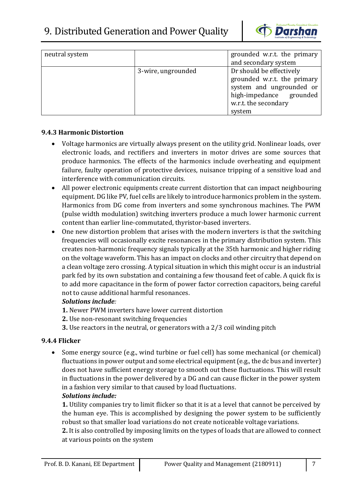

| neutral system |                    | grounded w.r.t. the primary<br>and secondary system |
|----------------|--------------------|-----------------------------------------------------|
|                |                    |                                                     |
|                | 3-wire, ungrounded | Dr should be effectively                            |
|                |                    | grounded w.r.t. the primary                         |
|                |                    | system and ungrounded or                            |
|                |                    | high-impedance grounded                             |
|                |                    | w.r.t. the secondary                                |
|                |                    | system                                              |

### **9.4.3 Harmonic Distortion**

- Voltage harmonics are virtually always present on the utility grid. Nonlinear loads, over electronic loads, and rectifiers and inverters in motor drives are some sources that produce harmonics. The effects of the harmonics include overheating and equipment failure, faulty operation of protective devices, nuisance tripping of a sensitive load and interference with communication circuits.
- All power electronic equipments create current distortion that can impact neighbouring equipment. DG like PV, fuel cells are likely to introduce harmonics problem in the system. Harmonics from DG come from inverters and some synchronous machines. The PWM (pulse width modulation) switching inverters produce a much lower harmonic current content than earlier line-commutated, thyristor-based inverters.
- One new distortion problem that arises with the modern inverters is that the switching frequencies will occasionally excite resonances in the primary distribution system. This creates non-harmonic frequency signals typically at the 35th harmonic and higher riding on the voltage waveform. This has an impact on clocks and other circuitry that depend on a clean voltage zero crossing. A typical situation in which this might occur is an industrial park fed by its own substation and containing a few thousand feet of cable. A quick fix is to add more capacitance in the form of power factor correction capacitors, being careful not to cause additional harmful resonances.

### *Solutions include:*

- **1.** Newer PWM inverters have lower current distortion
- **2.** Use non-resonant switching frequencies
- **3.** Use reactors in the neutral, or generators with a 2/3 coil winding pitch

### **9.4.4 Flicker**

 Some energy source (e.g., wind turbine or fuel cell) has some mechanical (or chemical) fluctuations in power output and some electrical equipment (e.g., the dc bus and inverter) does not have sufficient energy storage to smooth out these fluctuations. This will result in fluctuations in the power delivered by a DG and can cause flicker in the power system in a fashion very similar to that caused by load fluctuations.

### *Solutions include:*

**1.** Utility companies try to limit flicker so that it is at a level that cannot be perceived by the human eye. This is accomplished by designing the power system to be sufficiently robust so that smaller load variations do not create noticeable voltage variations.

**2.** It is also controlled by imposing limits on the types of loads that are allowed to connect at various points on the system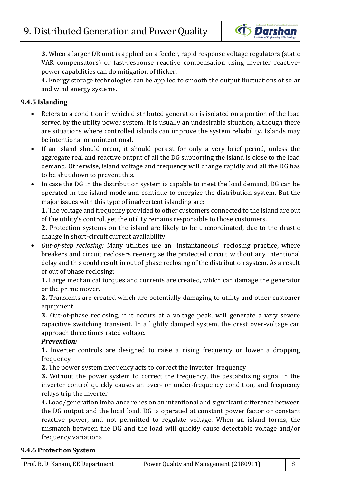

**3.** When a larger DR unit is applied on a feeder, rapid response voltage regulators (static VAR compensators) or fast-response reactive compensation using inverter reactivepower capabilities can do mitigation of flicker.

**4.** Energy storage technologies can be applied to smooth the output fluctuations of solar and wind energy systems.

# **9.4.5 Islanding**

- Refers to a condition in which distributed generation is isolated on a portion of the load served by the utility power system. It is usually an undesirable situation, although there are situations where controlled islands can improve the system reliability. Islands may be intentional or unintentional.
- If an island should occur, it should persist for only a very brief period, unless the aggregate real and reactive output of all the DG supporting the island is close to the load demand. Otherwise, island voltage and frequency will change rapidly and all the DG has to be shut down to prevent this.
- In case the DG in the distribution system is capable to meet the load demand, DG can be operated in the island mode and continue to energize the distribution system. But the major issues with this type of inadvertent islanding are:

**1.** The voltage and frequency provided to other customers connected to the island are out of the utility's control, yet the utility remains responsible to those customers.

**2.** Protection systems on the island are likely to be uncoordinated, due to the drastic change in short-circuit current availability.

 *Out-of-step reclosing:* Many utilities use an "instantaneous" reclosing practice, where breakers and circuit reclosers reenergize the protected circuit without any intentional delay and this could result in out of phase reclosing of the distribution system. As a result of out of phase reclosing:

**1.** Large mechanical torques and currents are created, which can damage the generator or the prime mover.

**2.** Transients are created which are potentially damaging to utility and other customer equipment.

**3.** Out-of-phase reclosing, if it occurs at a voltage peak, will generate a very severe capacitive switching transient. In a lightly damped system, the crest over-voltage can approach three times rated voltage.

### *Prevention:*

**1.** Inverter controls are designed to raise a rising frequency or lower a dropping frequency

**2.** The power system frequency acts to correct the inverter frequency

**3.** Without the power system to correct the frequency, the destabilizing signal in the inverter control quickly causes an over- or under-frequency condition, and frequency relays trip the inverter

**4.** Load/generation imbalance relies on an intentional and significant difference between the DG output and the local load. DG is operated at constant power factor or constant reactive power, and not permitted to regulate voltage. When an island forms, the mismatch between the DG and the load will quickly cause detectable voltage and/or frequency variations

### **9.4.6 Protection System**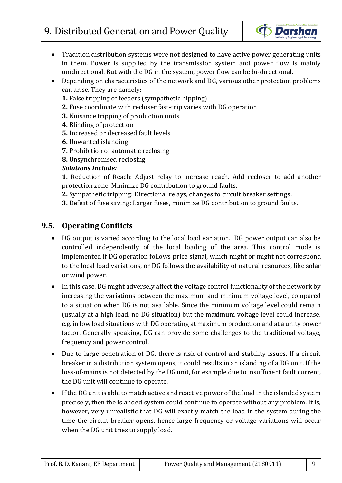

- Tradition distribution systems were not designed to have active power generating units in them. Power is supplied by the transmission system and power flow is mainly unidirectional. But with the DG in the system, power flow can be bi-directional.
- Depending on characteristics of the network and DG, various other protection problems can arise. They are namely:
	- **1.** False tripping of feeders (sympathetic hipping)
	- **2.** Fuse coordinate with recloser fast-trip varies with DG operation
	- **3.** Nuisance tripping of production units
	- **4.** Blinding of protection
	- **5.** Increased or decreased fault levels
	- **6.** Unwanted islanding
	- **7.** Prohibition of automatic reclosing
	- **8.** Unsynchronised reclosing

# *Solutions Include:*

**1.** Reduction of Reach: Adjust relay to increase reach. Add recloser to add another protection zone. Minimize DG contribution to ground faults.

- **2.** Sympathetic tripping: Directional relays, changes to circuit breaker settings.
- **3.** Defeat of fuse saving: Larger fuses, minimize DG contribution to ground faults.

# **9.5. Operating Conflicts**

- DG output is varied according to the local load variation. DG power output can also be controlled independently of the local loading of the area. This control mode is implemented if DG operation follows price signal, which might or might not correspond to the local load variations, or DG follows the availability of natural resources, like solar or wind power.
- In this case, DG might adversely affect the voltage control functionality of the network by increasing the variations between the maximum and minimum voltage level, compared to a situation when DG is not available. Since the minimum voltage level could remain (usually at a high load, no DG situation) but the maximum voltage level could increase, e.g. in low load situations with DG operating at maximum production and at a unity power factor. Generally speaking, DG can provide some challenges to the traditional voltage, frequency and power control.
- Due to large penetration of DG, there is risk of control and stability issues. If a circuit breaker in a distribution system opens, it could results in an islanding of a DG unit. If the loss-of-mains is not detected by the DG unit, for example due to insufficient fault current, the DG unit will continue to operate.
- If the DG unit is able to match active and reactive power of the load in the islanded system precisely, then the islanded system could continue to operate without any problem. It is, however, very unrealistic that DG will exactly match the load in the system during the time the circuit breaker opens, hence large frequency or voltage variations will occur when the DG unit tries to supply load.